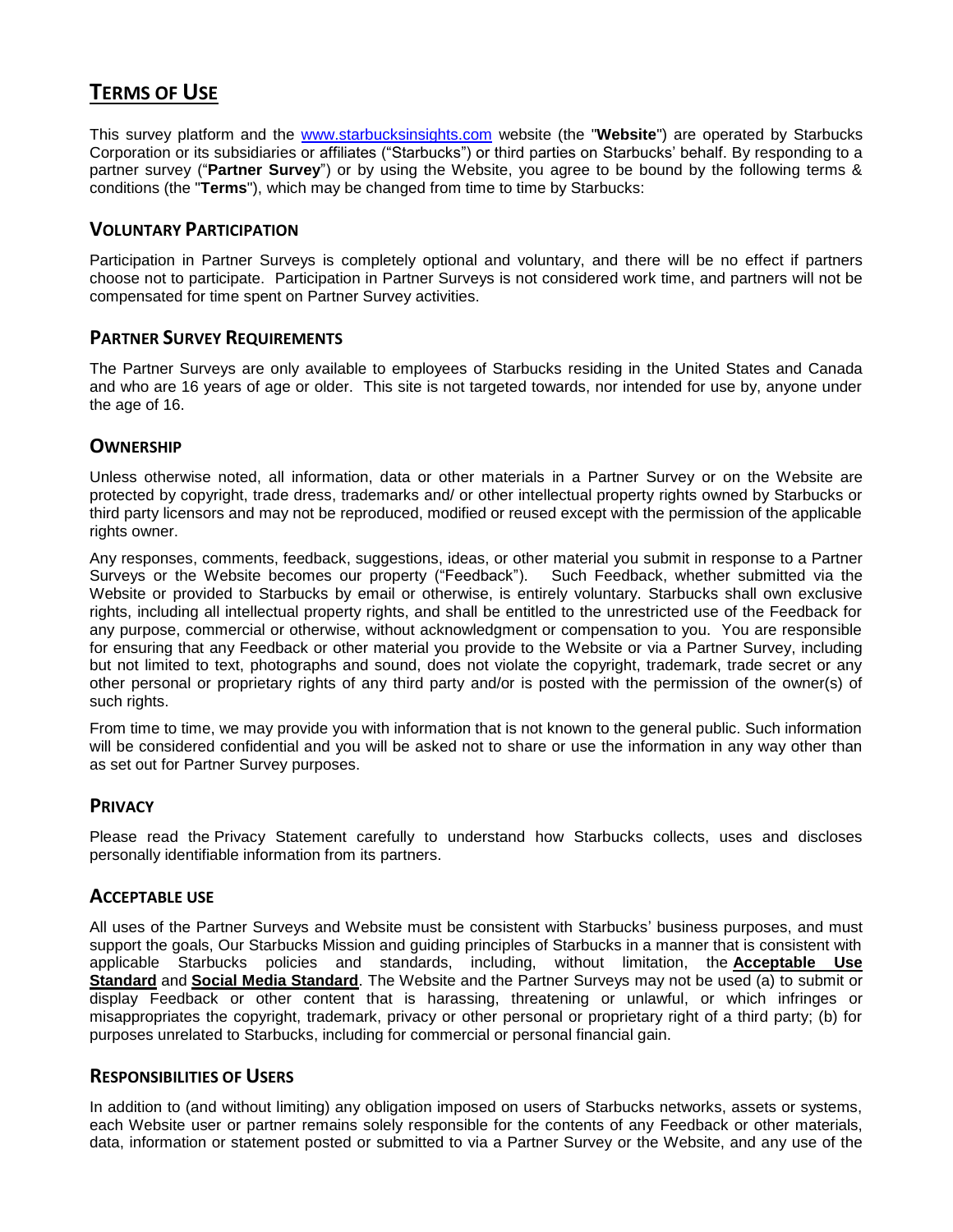# **TERMS OF USE**

This survey platform and the [www.starbucksinsights.com](http://www.starbucksinsights.com/) website (the "**Website**") are operated by Starbucks Corporation or its subsidiaries or affiliates ("Starbucks") or third parties on Starbucks' behalf. By responding to a partner survey ("**Partner Survey**") or by using the Website, you agree to be bound by the following terms & conditions (the "**Terms**"), which may be changed from time to time by Starbucks:

# **VOLUNTARY PARTICIPATION**

Participation in Partner Surveys is completely optional and voluntary, and there will be no effect if partners choose not to participate. Participation in Partner Surveys is not considered work time, and partners will not be compensated for time spent on Partner Survey activities.

# **PARTNER SURVEY REQUIREMENTS**

The Partner Surveys are only available to employees of Starbucks residing in the United States and Canada and who are 16 years of age or older. This site is not targeted towards, nor intended for use by, anyone under the age of 16.

# **OWNERSHIP**

Unless otherwise noted, all information, data or other materials in a Partner Survey or on the Website are protected by copyright, trade dress, trademarks and/ or other intellectual property rights owned by Starbucks or third party licensors and may not be reproduced, modified or reused except with the permission of the applicable rights owner.

Any responses, comments, feedback, suggestions, ideas, or other material you submit in response to a Partner Surveys or the Website becomes our property ("Feedback"). Such Feedback, whether submitted via the Website or provided to Starbucks by email or otherwise, is entirely voluntary. Starbucks shall own exclusive rights, including all intellectual property rights, and shall be entitled to the unrestricted use of the Feedback for any purpose, commercial or otherwise, without acknowledgment or compensation to you. You are responsible for ensuring that any Feedback or other material you provide to the Website or via a Partner Survey, including but not limited to text, photographs and sound, does not violate the copyright, trademark, trade secret or any other personal or proprietary rights of any third party and/or is posted with the permission of the owner(s) of such rights.

From time to time, we may provide you with information that is not known to the general public. Such information will be considered confidential and you will be asked not to share or use the information in any way other than as set out for Partner Survey purposes.

### **PRIVACY**

Please read the Privacy Statement carefully to understand how Starbucks collects, uses and discloses personally identifiable information from its partners.

### **ACCEPTABLE USE**

All uses of the Partner Surveys and Website must be consistent with Starbucks' business purposes, and must support the goals, Our Starbucks Mission and guiding principles of Starbucks in a manner that is consistent with applicable Starbucks policies and standards, including, without limitation, the **[Acceptable Use](https://departments.starbucks.com/sites/epl/Documents/Acceptable%20Use%20Standard%20-%20Global.pdf)  [Standard](https://departments.starbucks.com/sites/epl/Documents/Acceptable%20Use%20Standard%20-%20Global.pdf)** and **[Social Media Standard](https://departments.starbucks.com/sites/epl/Documents/Global%20Social%20Media%20Standard.pdf)**. The Website and the Partner Surveys may not be used (a) to submit or display Feedback or other content that is harassing, threatening or unlawful, or which infringes or misappropriates the copyright, trademark, privacy or other personal or proprietary right of a third party; (b) for purposes unrelated to Starbucks, including for commercial or personal financial gain.

### **RESPONSIBILITIES OF USERS**

In addition to (and without limiting) any obligation imposed on users of Starbucks networks, assets or systems, each Website user or partner remains solely responsible for the contents of any Feedback or other materials, data, information or statement posted or submitted to via a Partner Survey or the Website, and any use of the